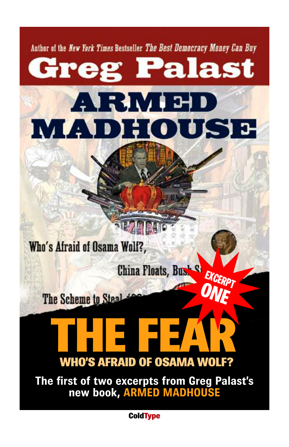

**ColdType**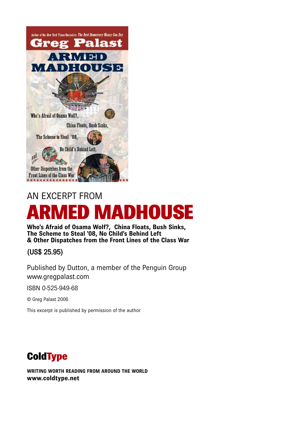

# AN EXCERPT FROM **ARMED MADHOUSE**

**Who's Afraid of Osama Wolf?, China Floats, Bush Sinks, The Scheme to Steal '08, No Child's Behind Left & Other Dispatches from the Front Lines of the Class War**

#### (US\$ 25.95)

Published by Dutton, a member of the Penguin Group www.gregpalast.com

ISBN 0-525-949-68

© Greg Palast 2006

This excerpt is published by permission of the author

#### **ColdType**

**WRITING WORTH READING FROM AROUND THE WORLD www.coldtype.net**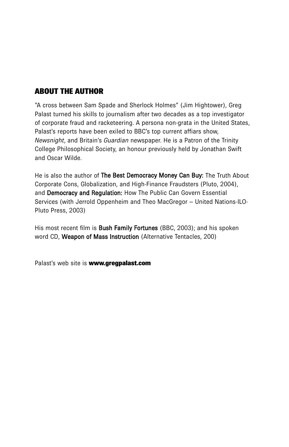#### **ABOUT THE AUTHOR**

"A cross between Sam Spade and Sherlock Holmes" (Jim Hightower), Greg Palast turned his skills to journalism after two decades as a top investigator of corporate fraud and racketeering. A persona non-grata in the United States, Palast's reports have been exiled to BBC's top current affiars show, *Newsnight*, and Britain's *Guardian* newspaper. He is a Patron of the Trinity College Philosophical Society, an honour previously held by Jonathan Swift and Oscar Wilde.

He is also the author of The Best Democracy Money Can Buy: The Truth About Corporate Cons, Globalization, and High-Finance Fraudsters (Pluto, 2004), and Democracy and Regulation: How The Public Can Govern Essential Services (with Jerrold Oppenheim and Theo MacGregor – United Nations-ILO-Pluto Press, 2003)

His most recent film is **Bush Family Fortunes** (BBC, 2003); and his spoken word CD, Weapon of Mass Instruction (Alternative Tentacles, 200)

Palast's web site is **www.gregpalast.com**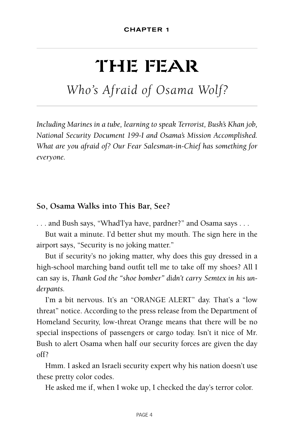# THE FEAR

### *Who's Afraid of Osama Wolf?*

*Including Marines in a tube, learning to speak Terrorist, Bush's Khan job, National Security Document 199-I and Osama's Mission Accomplished. What are you afraid of? Our Fear Salesman-in-Chief has something for everyone.*

#### **So, Osama Walks into This Bar, See?**

. . . and Bush says, "Whad'l'ya have, pardner?" and Osama says . . .

But wait a minute. I'd better shut my mouth. The sign here in the airport says, "Security is no joking matter."

But if security's no joking matter, why does this guy dressed in a high-school marching band outfit tell me to take off my shoes? All I can say is, *Thank God the "shoe bomber" didn't carry Semtex in his underpants.*

I'm a bit nervous. It's an "ORANGE ALERT" day. That's a "low threat" notice. According to the press release from the Department of Homeland Security, low-threat Orange means that there will be no special inspections of passengers or cargo today. Isn't it nice of Mr. Bush to alert Osama when half our security forces are given the day off?

Hmm. I asked an Israeli security expert why his nation doesn't use these pretty color codes.

He asked me if, when I woke up, I checked the day's terror color.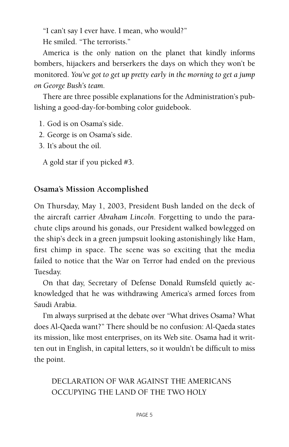"I can't say I ever have. I mean, who would?"

He smiled. "The terrorists."

America is the only nation on the planet that kindly informs bombers, hijackers and berserkers the days on which they won't be monitored. *You've got to get up pretty early in the morning to get a jump on George Bush's team.*

There are three possible explanations for the Administration's publishing a good-day-for-bombing color guidebook.

- 1. God is on Osama's side.
- 2. George is on Osama's side.
- 3. It's about the oil.

A gold star if you picked #3.

#### **Osama's Mission Accomplished**

On Thursday, May 1, 2003, President Bush landed on the deck of the aircraft carrier *Abraham Lincoln.* Forgetting to undo the parachute clips around his gonads, our President walked bowlegged on the ship's deck in a green jumpsuit looking astonishingly like Ham, first chimp in space. The scene was so exciting that the media failed to notice that the War on Terror had ended on the previous Tuesday.

On that day, Secretary of Defense Donald Rumsfeld quietly acknowledged that he was withdrawing America's armed forces from Saudi Arabia.

I'm always surprised at the debate over "What drives Osama? What does Al-Qaeda want?" There should be no confusion: Al-Qaeda states its mission, like most enterprises, on its Web site. Osama had it written out in English, in capital letters, so it wouldn't be difficult to miss the point.

#### DECLARATION OF WAR AGAINST THE AMERICANS OCCUPYING THE LAND OF THE TWO HOLY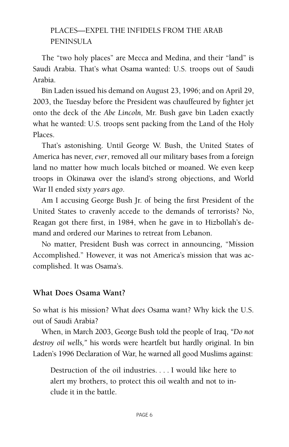#### PLACES—EXPEL THE INFIDELS FROM THE ARAB PENINSULA

The "two holy places" are Mecca and Medina, and their "land" is Saudi Arabia. That's what Osama wanted: U.S. troops out of Saudi Arabia.

Bin Laden issued his demand on August 23, 1996; and on April 29, 2003, the Tuesday before the President was chauffeured by fighter jet onto the deck of the *Abe Lincoln,* Mr. Bush gave bin Laden exactly what he wanted: U.S. troops sent packing from the Land of the Holy Places.

That's astonishing. Until George W. Bush, the United States of America has never, *ever*, removed all our military bases from a foreign land no matter how much locals bitched or moaned. We even keep troops in Okinawa over the island's strong objections, and World War II ended *sixty years ago*.

Am I accusing George Bush Jr. of being the first President of the United States to cravenly accede to the demands of terrorists? No, Reagan got there first, in 1984, when he gave in to Hizbollah's demand and ordered our Marines to retreat from Lebanon.

No matter, President Bush was correct in announcing, "Mission Accomplished." However, it was not America's mission that was accomplished. It was Osama's.

#### **What Does Osama Want?**

So what *is* his mission? What *does* Osama want? Why kick the U.S. out of Saudi Arabia?

When, in March 2003, George Bush told the people of Iraq, *"Do not destroy oil wells,"* his words were heartfelt but hardly original. In bin Laden's 1996 Declaration of War, he warned all good Muslims against:

Destruction of the oil industries. . . . I would like here to alert my brothers, to protect this oil wealth and not to include it in the battle.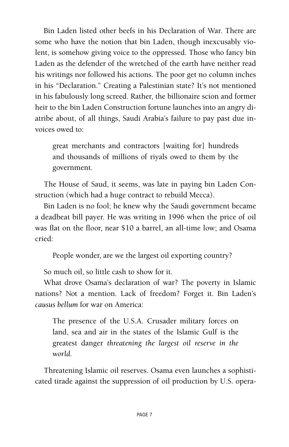Bin Laden listed other beefs in his Declaration of War. There are some who have the notion that bin Laden, though inexcusably violent, is somehow giving voice to the oppressed. Those who fancy bin Laden as the defender of the wretched of the earth have neither read his writings nor followed his actions. The poor get no column inches in his "Declaration." Creating a Palestinian state? It's not mentioned in his fabulously long screed. Rather, the billionaire scion and former heir to the bin Laden Construction fortune launches into an angry diatribe about, of all things, Saudi Arabia's failure to pay past due invoices owed to:

great merchants and contractors [waiting for] hundreds and thousands of millions of riyals owed to them by the government.

The House of Saud, it seems, was late in paying bin Laden Construction (which had a huge contract to rebuild Mecca).

Bin Laden is no fool; he knew why the Saudi government became a deadbeat bill payer. He was writing in 1996 when the price of oil was flat on the floor, near \$10 a barrel, an all-time low; and Osama cried:

People wonder, are we the largest oil exporting country?

So much oil, so little cash to show for it.

What drove Osama's declaration of war? The poverty in Islamic nations? Not a mention. Lack of freedom? Forget it. Bin Laden's *causus bellum* for war on America:

The presence of the U.S.A. Crusader military forces on land, sea and air in the states of the Islamic Gulf is the greatest danger *threatening the largest oil reserve in the world*.

Threatening Islamic oil reserves. Osama even launches a sophisticated tirade against the suppression of oil production by U.S. opera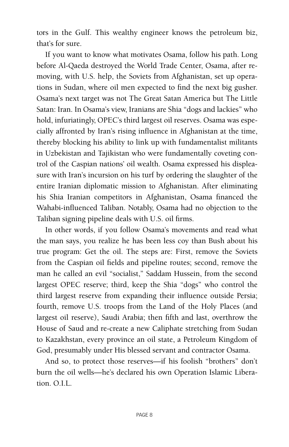tors in the Gulf. This wealthy engineer knows the petroleum biz, that's for sure.

If you want to know what motivates Osama, follow his path. Long before Al-Qaeda destroyed the World Trade Center, Osama, after removing, with U.S. help, the Soviets from Afghanistan, set up operations in Sudan, where oil men expected to find the next big gusher. Osama's next target was not The Great Satan America but The Little Satan: Iran. In Osama's view, Iranians are Shia "dogs and lackies" who hold, infuriatingly, OPEC's third largest oil reserves. Osama was especially affronted by Iran's rising influence in Afghanistan at the time, thereby blocking his ability to link up with fundamentalist militants in Uzbekistan and Tajikistan who were fundamentally coveting control of the Caspian nations' oil wealth. Osama expressed his displeasure with Iran's incursion on his turf by ordering the slaughter of the entire Iranian diplomatic mission to Afghanistan. After eliminating his Shia Iranian competitors in Afghanistan, Osama financed the Wahabi-influenced Taliban. Notably, Osama had no objection to the Taliban signing pipeline deals with U.S. oil firms.

In other words, if you follow Osama's movements and read what the man says, you realize he has been less coy than Bush about his true program: Get the oil. The steps are: First, remove the Soviets from the Caspian oil fields and pipeline routes; second, remove the man he called an evil "socialist," Saddam Hussein, from the second largest OPEC reserve; third, keep the Shia "dogs" who control the third largest reserve from expanding their influence outside Persia; fourth, remove U.S. troops from the Land of the Holy Places (and largest oil reserve), Saudi Arabia; then fifth and last, overthrow the House of Saud and re-create a new Caliphate stretching from Sudan to Kazakhstan, every province an oil state, a Petroleum Kingdom of God, presumably under His blessed servant and contractor Osama.

And so, to protect those reserves—if his foolish "brothers" don't burn the oil wells—he's declared his own Operation Islamic Liberation. O.I.L.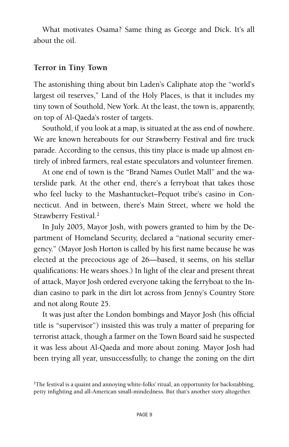What motivates Osama? Same thing as George and Dick. It's all about the oil.

#### **Terror in Tiny Town**

The astonishing thing about bin Laden's Caliphate atop the "world's largest oil reserves," Land of the Holy Places, is that it includes my tiny town of Southold, New York. At the least, the town is, apparently, on top of Al-Qaeda's roster of targets.

Southold, if you look at a map, is situated at the ass end of nowhere. We are known hereabouts for our Strawberry Festival and fire truck parade. According to the census, this tiny place is made up almost entirely of inbred farmers, real estate speculators and volunteer firemen.

At one end of town is the "Brand Names Outlet Mall" and the waterslide park. At the other end, there's a ferryboat that takes those who feel lucky to the Mashantucket–Pequot tribe's casino in Connecticut. And in between, there's Main Street, where we hold the Strawberry Festival.2

In July 2005, Mayor Josh, with powers granted to him by the Department of Homeland Security, declared a "national security emergency." (Mayor Josh Horton is called by his first name because he was elected at the precocious age of 26—based, it seems, on his stellar qualifications: He wears shoes.) In light of the clear and present threat of attack, Mayor Josh ordered everyone taking the ferryboat to the Indian casino to park in the dirt lot across from Jenny's Country Store and not along Route 25.

It was just after the London bombings and Mayor Josh (his official title is "supervisor") insisted this was truly a matter of preparing for terrorist attack, though a farmer on the Town Board said he suspected it was less about Al-Qaeda and more about zoning. Mayor Josh had been trying all year, unsuccessfully, to change the zoning on the dirt

 $2$ The festival is a quaint and annoying white-folks' ritual, an opportunity for backstabbing, petty infighting and all-American small-mindedness. But that's another story altogether.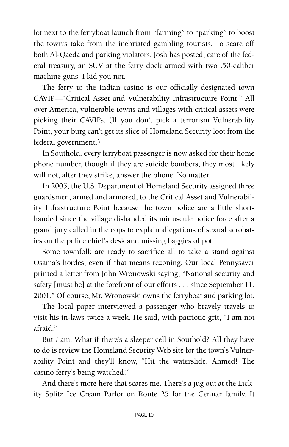lot next to the ferryboat launch from "farming" to "parking" to boost the town's take from the inebriated gambling tourists. To scare off both Al-Qaeda and parking violators, Josh has posted, care of the federal treasury, an SUV at the ferry dock armed with two .50-caliber machine guns. I kid you not.

The ferry to the Indian casino is our officially designated town CAVIP—"Critical Asset and Vulnerability Infrastructure Point." All over America, vulnerable towns and villages with critical assets were picking their CAVIPs. (If you don't pick a terrorism Vulnerability Point, your burg can't get its slice of Homeland Security loot from the federal government.)

In Southold, every ferryboat passenger is now asked for their home phone number, though if they are suicide bombers, they most likely will not, after they strike, answer the phone. No matter.

In 2005, the U.S. Department of Homeland Security assigned three guardsmen, armed and armored, to the Critical Asset and Vulnerability Infrastructure Point because the town police are a little shorthanded since the village disbanded its minuscule police force after a grand jury called in the cops to explain allegations of sexual acrobatics on the police chief's desk and missing baggies of pot.

Some townfolk are ready to sacrifice all to take a stand against Osama's hordes, even if that means rezoning. Our local Pennysaver printed a letter from John Wronowski saying, "National security and safety [must be] at the forefront of our efforts . . . since September 11, 2001." Of course, Mr. Wronowski owns the ferryboat and parking lot.

The local paper interviewed a passenger who bravely travels to visit his in-laws twice a week. He said, with patriotic grit, "I am not afraid."

But *I* am. What if there's a sleeper cell in Southold? All they have to do is review the Homeland Security Web site for the town's Vulnerability Point and they'll know, "Hit the waterslide, Ahmed! The casino ferry's being watched!"

And there's more here that scares me. There's a jug out at the Lickity Splitz Ice Cream Parlor on Route 25 for the Cennar family. It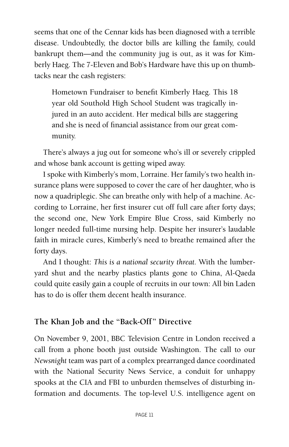seems that one of the Cennar kids has been diagnosed with a terrible disease. Undoubtedly, the doctor bills are killing the family, could bankrupt them—and the community jug is out, as it was for Kimberly Haeg. The 7-Eleven and Bob's Hardware have this up on thumbtacks near the cash registers:

Hometown Fundraiser to benefit Kimberly Haeg. This 18 year old Southold High School Student was tragically injured in an auto accident. Her medical bills are staggering and she is need of financial assistance from our great community.

There's always a jug out for someone who's ill or severely crippled and whose bank account is getting wiped away.

I spoke with Kimberly's mom, Lorraine. Her family's two health insurance plans were supposed to cover the care of her daughter, who is now a quadriplegic. She can breathe only with help of a machine. According to Lorraine, her first insurer cut off full care after forty days; the second one, New York Empire Blue Cross, said Kimberly no longer needed full-time nursing help. Despite her insurer's laudable faith in miracle cures, Kimberly's need to breathe remained after the forty days.

And I thought: *This is a national security threat.* With the lumberyard shut and the nearby plastics plants gone to China, Al-Qaeda could quite easily gain a couple of recruits in our town: All bin Laden has to do is offer them decent health insurance.

#### **The Khan Job and the "Back-Off" Directive**

On November 9, 2001, BBC Television Centre in London received a call from a phone booth just outside Washington. The call to our *Newsnight* team was part of a complex prearranged dance coordinated with the National Security News Service, a conduit for unhappy spooks at the CIA and FBI to unburden themselves of disturbing information and documents. The top-level U.S. intelligence agent on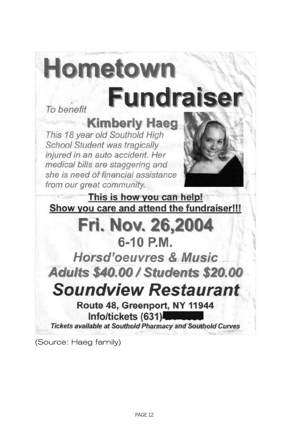

(Source: Haeg family)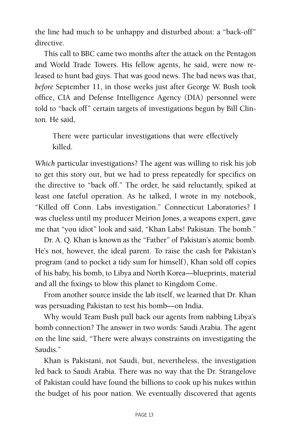the line had much to be unhappy and disturbed about: a "back-off" directive.

This call to BBC came two months after the attack on the Pentagon and World Trade Towers. His fellow agents, he said, were now released to hunt bad guys. That was good news. The bad news was that, *before* September 11, in those weeks just after George W. Bush took office, CIA and Defense Intelligence Agency (DIA) personnel were told to "back off" certain targets of investigations begun by Bill Clinton. He said,

There were particular investigations that were effectively killed.

*Which* particular investigations? The agent was willing to risk his job to get this story out, but we had to press repeatedly for specifics on the directive to "back off." The order, he said reluctantly, spiked at least one fateful operation. As he talked, I wrote in my notebook, "Killed off Conn. Labs investigation." Connecticut Laboratories? I was clueless until my producer Meirion Jones, a weapons expert, gave me that "you idiot" look and said, "Khan Labs! Pakistan. The bomb."

Dr. A. Q. Khan is known as the "Father" of Pakistan's atomic bomb. He's not, however, the ideal parent. To raise the cash for Pakistan's program (and to pocket a tidy sum for himself), Khan sold off copies of his baby, his bomb, to Libya and North Korea—blueprints, material and all the fixings to blow this planet to Kingdom Come.

From another source inside the lab itself, we learned that Dr. Khan was persuading Pakistan to test his bomb—on India.

Why would Team Bush pull back our agents from nabbing Libya's bomb connection? The answer in two words: Saudi Arabia. The agent on the line said, "There were always constraints on investigating the Saudis."

Khan is Pakistani, not Saudi, but, nevertheless, the investigation led back to Saudi Arabia. There was no way that the Dr. Strangelove of Pakistan could have found the billions to cook up his nukes within the budget of his poor nation. We eventually discovered that agents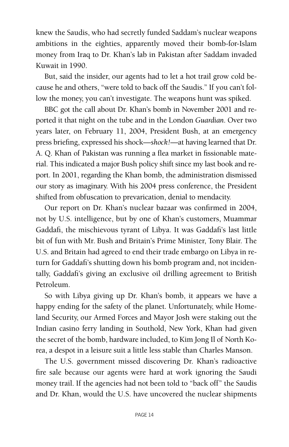knew the Saudis, who had secretly funded Saddam's nuclear weapons ambitions in the eighties, apparently moved their bomb-for-Islam money from Iraq to Dr. Khan's lab in Pakistan after Saddam invaded Kuwait in 1990.

But, said the insider, our agents had to let a hot trail grow cold because he and others, "were told to back off the Saudis." If you can't follow the money, you can't investigate. The weapons hunt was spiked.

BBC got the call about Dr. Khan's bomb in November 2001 and reported it that night on the tube and in the London *Guardian*. Over two years later, on February 11, 2004, President Bush, at an emergency press briefing, expressed his shock—*shock!*—at having learned that Dr. A. Q. Khan of Pakistan was running a flea market in fissionable material. This indicated a major Bush policy shift since my last book and report. In 2001, regarding the Khan bomb, the administration dismissed our story as imaginary. With his 2004 press conference, the President shifted from obfuscation to prevarication, denial to mendacity.

Our report on Dr. Khan's nuclear bazaar was confirmed in 2004, not by U.S. intelligence, but by one of Khan's customers, Muammar Gaddafi, the mischievous tyrant of Libya. It was Gaddafi's last little bit of fun with Mr. Bush and Britain's Prime Minister, Tony Blair. The U.S. and Britain had agreed to end their trade embargo on Libya in return for Gaddafi's shutting down his bomb program and, not incidentally, Gaddafi's giving an exclusive oil drilling agreement to British Petroleum.

So with Libya giving up Dr. Khan's bomb, it appears we have a happy ending for the safety of the planet. Unfortunately, while Homeland Security, our Armed Forces and Mayor Josh were staking out the Indian casino ferry landing in Southold, New York, Khan had given the secret of the bomb, hardware included, to Kim Jong Il of North Korea, a despot in a leisure suit a little less stable than Charles Manson.

The U.S. government missed discovering Dr. Khan's radioactive fire sale because our agents were hard at work ignoring the Saudi money trail. If the agencies had not been told to "back off" the Saudis and Dr. Khan, would the U.S. have uncovered the nuclear shipments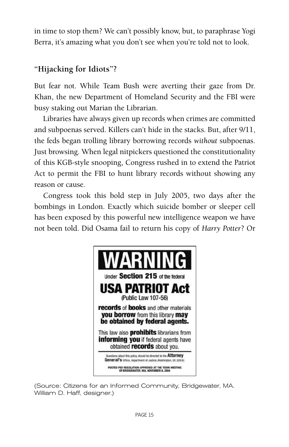in time to stop them? We can't possibly know, but, to paraphrase Yogi Berra, it's amazing what you don't see when you're told not to look.

#### **"Hijacking for Idiots"?**

But fear not. While Team Bush were averting their gaze from Dr. Khan, the new Department of Homeland Security and the FBI were busy staking out Marian the Librarian.

Libraries have always given up records when crimes are committed and subpoenas served. Killers can't hide in the stacks. But, after 9/11, the feds began trolling library borrowing records *without* subpoenas. Just browsing. When legal nitpickers questioned the constitutionality of this KGB-style snooping, Congress rushed in to extend the Patriot Act to permit the FBI to hunt library records without showing any reason or cause.

Congress took this bold step in July 2005, two days after the bombings in London. Exactly which suicide bomber or sleeper cell has been exposed by this powerful new intelligence weapon we have not been told. Did Osama fail to return his copy of *Harry Potter*? Or



(Source: Citizens for an Informed Community, Bridgewater, MA. William D. Haff, designer.)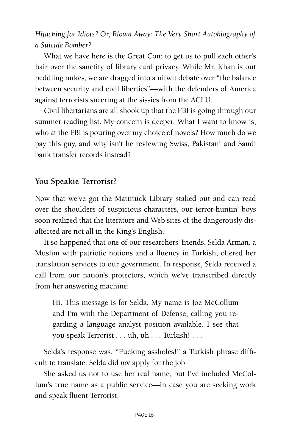*Hijacking for Idiots?* Or, *Blown Away: The Very Short Autobiography of a Suicide Bomber*?

What we have here is the Great Con: to get us to pull each other's hair over the sanctity of library card privacy. While Mr. Khan is out peddling nukes, we are dragged into a nitwit debate over "the balance between security and civil liberties"—with the defenders of America against terrorists sneering at the sissies from the ACLU.

Civil libertarians are all shook up that the FBI is going through our summer reading list. My concern is deeper. What I want to know is, who at the FBI is pouring over my choice of novels? How much do we pay this guy, and why isn't he reviewing Swiss, Pakistani and Saudi bank transfer records instead?

#### **You Speakie Terrorist?**

Now that we've got the Mattituck Library staked out and can read over the shoulders of suspicious characters, our terror-huntin' boys soon realized that the literature and Web sites of the dangerously disaffected are not all in the King's English.

It so happened that one of our researchers' friends, Selda Arman, a Muslim with patriotic notions and a fluency in Turkish, offered her translation services to our government. In response, Selda received a call from our nation's protectors, which we've transcribed directly from her answering machine:

Hi. This message is for Selda. My name is Joe McCollum and I'm with the Department of Defense, calling you regarding a language analyst position available. I see that you speak Terrorist . . . uh, uh . . . Turkish! . . .

Selda's response was, "Fucking assholes!" a Turkish phrase difficult to translate. Selda did *not* apply for the job.

She asked us not to use her real name, but I've included McCollum's true name as a public service—in case you are seeking work and speak fluent Terrorist.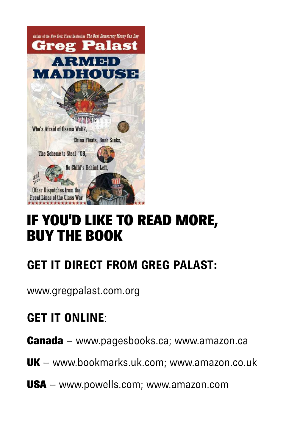

## **IF YOU'D LIKE TO READ MORE, BUY THE BOOK**

### **GET IT DIRECT FROM GREG PALAST:**

www.gregpalast.com.org

### **GET IT ONLINE**:

**Canada** – www.pagesbooks.ca; www.amazon.ca

- **UK** www.bookmarks.uk.com; www.amazon.co.uk
- **USA** www.powells.com; www.amazon.com